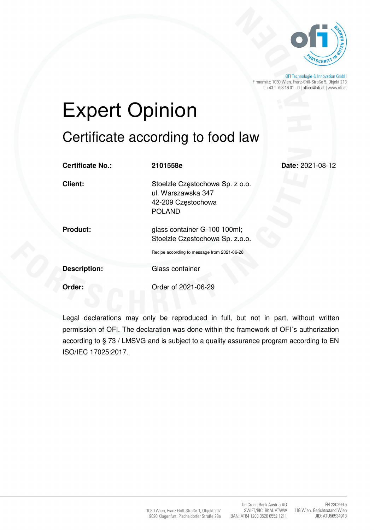

OFI Technologie & Innovation GmbH Firmensitz: 1030 Wien, Franz-Grill-Straße 5, Objekt 213 t: +43 1 798 16 01 - 0 | office@ofi.at | www.ofi.at

# Expert Opinion

Certificate according to food law

| <b>Certificate No.:</b> | 2101558e                                                                                     | Date: 2021-08-12 |
|-------------------------|----------------------------------------------------------------------------------------------|------------------|
| <b>Client:</b>          | Stoelzle Częstochowa Sp. z o.o.<br>ul. Warszawska 347<br>42-209 Częstochowa<br><b>POLAND</b> |                  |
| <b>Product:</b>         | glass container G-100 100ml;<br>Stoelzle Czestochowa Sp. z.o.o.                              |                  |
|                         | Recipe according to message from 2021-06-28                                                  |                  |
| <b>Description:</b>     | Glass container                                                                              |                  |
| Order:                  | Order of 2021-06-29                                                                          |                  |

Legal declarations may only be reproduced in full, but not in part, without written permission of OFI. The declaration was done within the framework of OFI´s authorization according to § 73 / LMSVG and is subject to a quality assurance program according to EN ISO/IEC 17025:2017.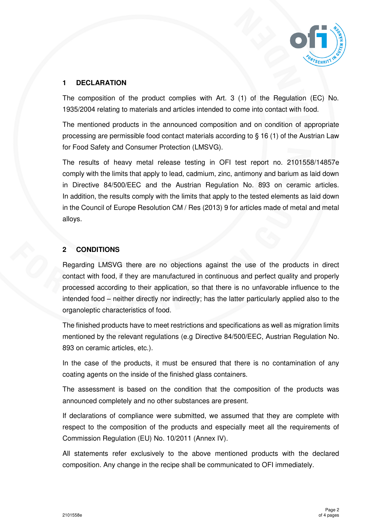

#### **1 DECLARATION**

The composition of the product complies with Art. 3 (1) of the Regulation (EC) No. 1935/2004 relating to materials and articles intended to come into contact with food.

The mentioned products in the announced composition and on condition of appropriate processing are permissible food contact materials according to § 16 (1) of the Austrian Law for Food Safety and Consumer Protection (LMSVG).

The results of heavy metal release testing in OFI test report no. 2101558/14857e comply with the limits that apply to lead, cadmium, zinc, antimony and barium as laid down in Directive 84/500/EEC and the Austrian Regulation No. 893 on ceramic articles. In addition, the results comply with the limits that apply to the tested elements as laid down in the Council of Europe Resolution CM / Res (2013) 9 for articles made of metal and metal alloys.

#### **2 CONDITIONS**

Regarding LMSVG there are no objections against the use of the products in direct contact with food, if they are manufactured in continuous and perfect quality and properly processed according to their application, so that there is no unfavorable influence to the intended food – neither directly nor indirectly; has the latter particularly applied also to the organoleptic characteristics of food.

The finished products have to meet restrictions and specifications as well as migration limits mentioned by the relevant regulations (e.g Directive 84/500/EEC, Austrian Regulation No. 893 on ceramic articles, etc.).

In the case of the products, it must be ensured that there is no contamination of any coating agents on the inside of the finished glass containers.

The assessment is based on the condition that the composition of the products was announced completely and no other substances are present.

If declarations of compliance were submitted, we assumed that they are complete with respect to the composition of the products and especially meet all the requirements of Commission Regulation (EU) No. 10/2011 (Annex IV).

All statements refer exclusively to the above mentioned products with the declared composition. Any change in the recipe shall be communicated to OFI immediately.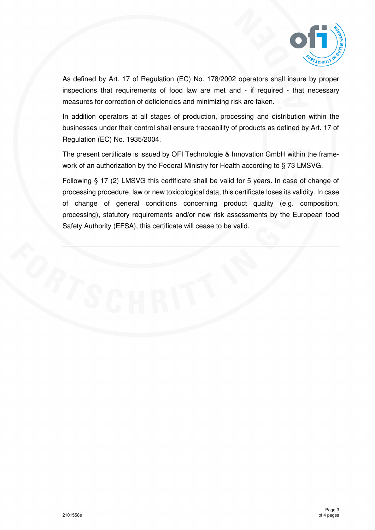

As defined by Art. 17 of Regulation (EC) No. 178/2002 operators shall insure by proper inspections that requirements of food law are met and - if required - that necessary measures for correction of deficiencies and minimizing risk are taken.

In addition operators at all stages of production, processing and distribution within the businesses under their control shall ensure traceability of products as defined by Art. 17 of Regulation (EC) No. 1935/2004.

The present certificate is issued by OFI Technologie & Innovation GmbH within the framework of an authorization by the Federal Ministry for Health according to § 73 LMSVG.

Following § 17 (2) LMSVG this certificate shall be valid for 5 years. In case of change of processing procedure, law or new toxicological data, this certificate loses its validity. In case of change of general conditions concerning product quality (e.g. composition, processing), statutory requirements and/or new risk assessments by the European food Safety Authority (EFSA), this certificate will cease to be valid.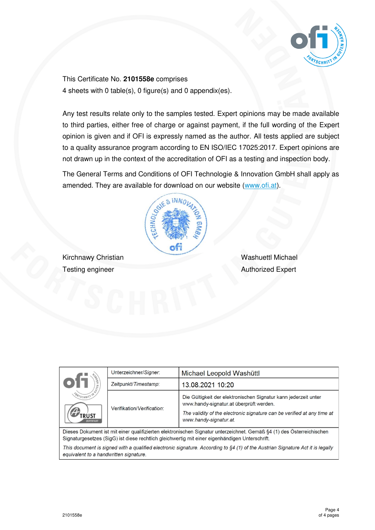

This Certificate No. **2101558e** comprises 4 sheets with 0 table(s), 0 figure(s) and 0 appendix(es).

Any test results relate only to the samples tested. Expert opinions may be made available to third parties, either free of charge or against payment, if the full wording of the Expert opinion is given and if OFI is expressly named as the author. All tests applied are subject to a quality assurance program according to EN ISO/IEC 17025:2017. Expert opinions are not drawn up in the context of the accreditation of OFI as a testing and inspection body.

The General Terms and Conditions of OFI Technologie & Innovation GmbH shall apply as amended. They are available for download on our website [\(www.ofi.at\)](https://www.ofi.at/).



Kirchnawy Christian Washuettl Michael Testing engineer **Authorized Expert** 

| NAGA<br>OT                                                                                                            | Unterzeichner/Signer:      | Michael Leopold Washüttl                                                                                                                                                                                        |  |  |
|-----------------------------------------------------------------------------------------------------------------------|----------------------------|-----------------------------------------------------------------------------------------------------------------------------------------------------------------------------------------------------------------|--|--|
|                                                                                                                       | Zeitpunkt/Timestamp:       | 13.08.2021 10:20                                                                                                                                                                                                |  |  |
|                                                                                                                       | Verifikation/Verification: | Die Gültigkeit der elektronischen Signatur kann jederzeit unter<br>www.handy-signatur.at überprüft werden.<br>The validity of the electronic signature can be verified at any time at<br>www.handy-signatur.at. |  |  |
| Dieses Dekument ist mit einer qualifizierten elektronischen Signatur unterzeighnet. Cemäß 84 (1) des Österreichischen |                            |                                                                                                                                                                                                                 |  |  |

Signaturgesetzes (SigG) ist diese rechtlich gleichwertig mit einer eigenhändigen Unterschrift.

This document is signed with a qualified electronic signature. According to §4 (1) of the Austrian Signature Act it is legally equivalent to a handwritten signature.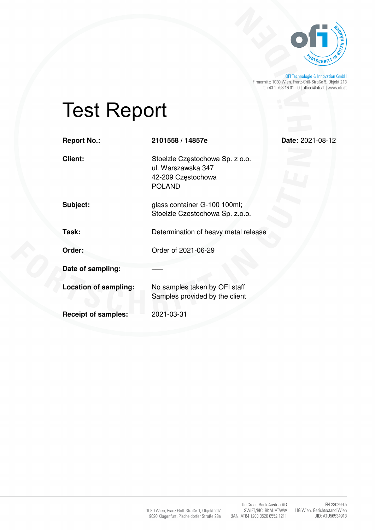

OFI Technologie & Innovation GmbH<br>Firmensitz: 1030 Wien, Franz-Grill-Straße 5, Objekt 213<br>t: +43 1 798 16 01 - 0 | office@ofi.at | www.ofi.at

# Test Report

| <b>Report No.:</b>           | 2101558 / 14857e                                                                             | Date: 2021-08-12 |  |
|------------------------------|----------------------------------------------------------------------------------------------|------------------|--|
| Client:                      | Stoelzle Częstochowa Sp. z o.o.<br>ul. Warszawska 347<br>42-209 Częstochowa<br><b>POLAND</b> |                  |  |
| Subject:                     | glass container G-100 100ml;<br>Stoelzle Czestochowa Sp. z.o.o.                              |                  |  |
| Task:                        | Determination of heavy metal release                                                         |                  |  |
| Order:                       | Order of 2021-06-29                                                                          |                  |  |
| Date of sampling:            |                                                                                              |                  |  |
| <b>Location of sampling:</b> | No samples taken by OFI staff<br>Samples provided by the client                              |                  |  |
| <b>Receipt of samples:</b>   | 2021-03-31                                                                                   |                  |  |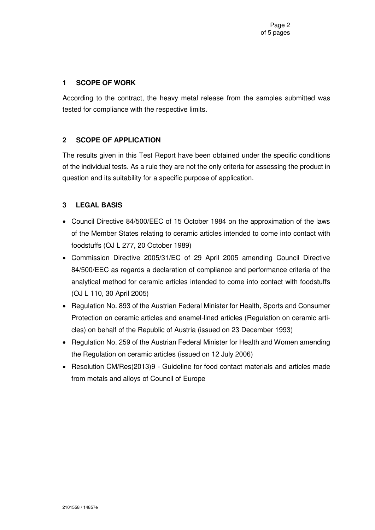#### **1 SCOPE OF WORK**

According to the contract, the heavy metal release from the samples submitted was tested for compliance with the respective limits.

# **2 SCOPE OF APPLICATION**

The results given in this Test Report have been obtained under the specific conditions of the individual tests. As a rule they are not the only criteria for assessing the product in question and its suitability for a specific purpose of application.

# **3 LEGAL BASIS**

- Council Directive 84/500/EEC of 15 October 1984 on the approximation of the laws of the Member States relating to ceramic articles intended to come into contact with foodstuffs (OJ L 277, 20 October 1989)
- Commission Directive 2005/31/EC of 29 April 2005 amending Council Directive 84/500/EEC as regards a declaration of compliance and performance criteria of the analytical method for ceramic articles intended to come into contact with foodstuffs (OJ L 110, 30 April 2005)
- Regulation No. 893 of the Austrian Federal Minister for Health, Sports and Consumer Protection on ceramic articles and enamel-lined articles (Regulation on ceramic articles) on behalf of the Republic of Austria (issued on 23 December 1993)
- Regulation No. 259 of the Austrian Federal Minister for Health and Women amending the Regulation on ceramic articles (issued on 12 July 2006)
- Resolution CM/Res(2013)9 Guideline for food contact materials and articles made from metals and alloys of Council of Europe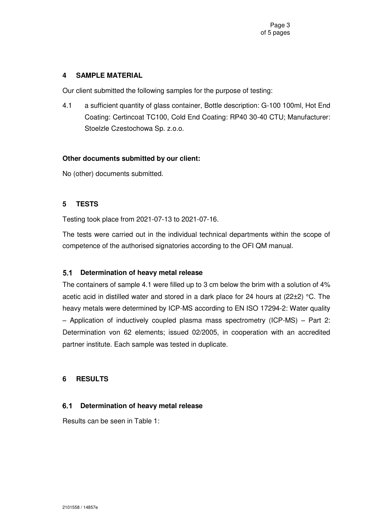#### **4 SAMPLE MATERIAL**

Our client submitted the following samples for the purpose of testing:

4.1 a sufficient quantity of glass container, Bottle description: G-100 100ml, Hot End Coating: Certincoat TC100, Cold End Coating: RP40 30-40 CTU; Manufacturer: Stoelzle Czestochowa Sp. z.o.o.

#### **Other documents submitted by our client:**

No (other) documents submitted.

# **5 TESTS**

Testing took place from 2021-07-13 to 2021-07-16.

The tests were carried out in the individual technical departments within the scope of competence of the authorised signatories according to the OFI QM manual.

# **Determination of heavy metal release**

The containers of sample 4.1 were filled up to 3 cm below the brim with a solution of 4% acetic acid in distilled water and stored in a dark place for 24 hours at (22±2) °C. The heavy metals were determined by ICP-MS according to EN ISO 17294-2: Water quality – Application of inductively coupled plasma mass spectrometry (ICP-MS) – Part 2: Determination von 62 elements; issued 02/2005, in cooperation with an accredited partner institute. Each sample was tested in duplicate.

# **6 RESULTS**

#### **Determination of heavy metal release**

Results can be seen in Table 1: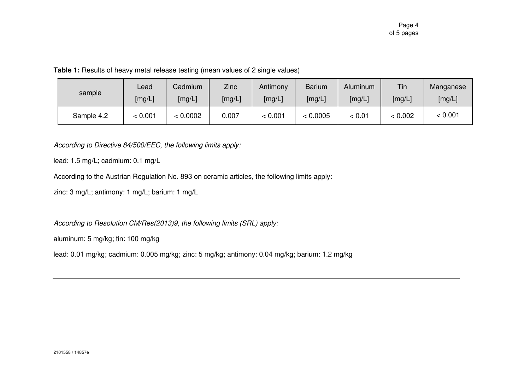**Table 1:** Results of heavy metal release testing (mean values of 2 single values)

| sample     | Lead    | Cadmium  | <b>Zinc</b> | Antimony | <b>Barium</b> | Aluminum | Tin     | Manganese |
|------------|---------|----------|-------------|----------|---------------|----------|---------|-----------|
|            | [mg/L]  | [mg/L]   | [mg/L]      | [mg/L]   | [mg/L]        | [mg/L]   | [mg/L]  | [mg/L]    |
| Sample 4.2 | < 0.001 | < 0.0002 | 0.007       | < 0.001  | < 0.0005      | < 0.01   | < 0.002 | < 0.001   |

According to Directive 84/500/EEC, the following limits apply:

lead: 1.5 mg/L; cadmium: 0.1 mg/L

According to the Austrian Regulation No. 893 on ceramic articles, the following limits apply:

zinc: 3 mg/L; antimony: 1 mg/L; barium: 1 mg/L

According to Resolution CM/Res(2013)9, the following limits (SRL) apply:

aluminum: 5 mg/kg; tin: 100 mg/kg

lead: 0.01 mg/kg; cadmium: 0.005 mg/kg; zinc: 5 mg/kg; antimony: 0.04 mg/kg; barium: 1.2 mg/kg